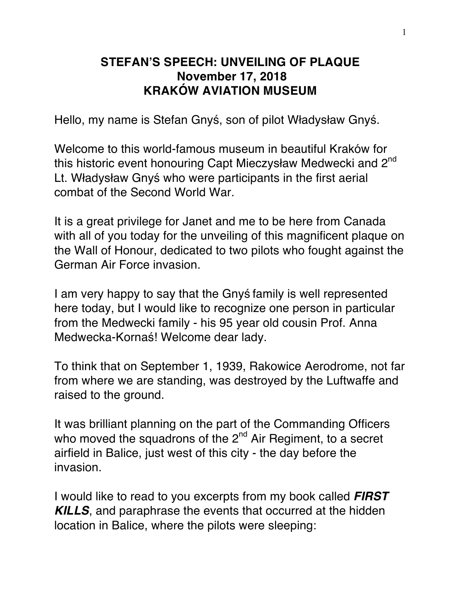## **STEFAN'S SPEECH: UNVEILING OF PLAQUE November 17, 2018 KRAKÓW AVIATION MUSEUM**

Hello, my name is Stefan Gnyś, son of pilot Władysław Gnyś.

Welcome to this world-famous museum in beautiful Kraków for this historic event honouring Capt Mieczysław Medwecki and 2<sup>nd</sup> Lt. Władysław Gnyś who were participants in the first aerial combat of the Second World War.

It is a great privilege for Janet and me to be here from Canada with all of you today for the unveiling of this magnificent plaque on the Wall of Honour, dedicated to two pilots who fought against the German Air Force invasion.

I am very happy to say that the Gnyś family is well represented here today, but I would like to recognize one person in particular from the Medwecki family - his 95 year old cousin Prof. Anna Medwecka-Kornaś! Welcome dear lady.

To think that on September 1, 1939, Rakowice Aerodrome, not far from where we are standing, was destroyed by the Luftwaffe and raised to the ground.

It was brilliant planning on the part of the Commanding Officers who moved the squadrons of the  $2<sup>nd</sup>$  Air Regiment, to a secret airfield in Balice, just west of this city - the day before the invasion.

I would like to read to you excerpts from my book called *FIRST KILLS*, and paraphrase the events that occurred at the hidden location in Balice, where the pilots were sleeping: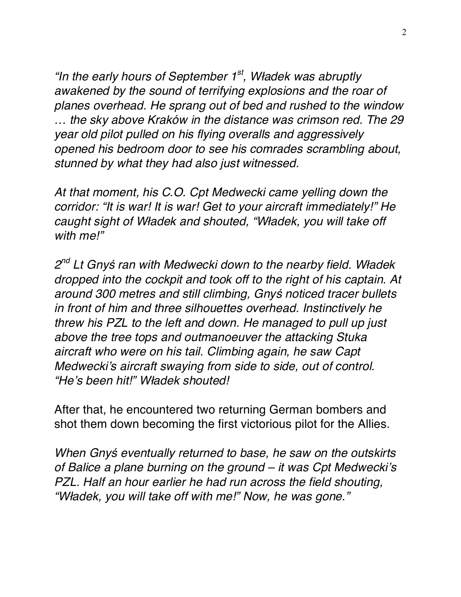*"In the early hours of September 1st, W*ł*adek was abruptly awakened by the sound of terrifying explosions and the roar of planes overhead. He sprang out of bed and rushed to the window … the sky above Kraków in the distance was crimson red. The 29 year old pilot pulled on his flying overalls and aggressively opened his bedroom door to see his comrades scrambling about, stunned by what they had also just witnessed.*

*At that moment, his C.O. Cpt Medwecki came yelling down the corridor: "It is war! It is war! Get to your aircraft immediately!" He caught sight of W*ł*adek and shouted, "W*ł*adek, you will take off with me!"*

*2nd Lt Gny*ś *ran with Medwecki down to the nearby field. W*ł*adek dropped into the cockpit and took off to the right of his captain. At around 300 metres and still climbing, Gny*ś *noticed tracer bullets in front of him and three silhouettes overhead. Instinctively he threw his PZL to the left and down. He managed to pull up just above the tree tops and outmanoeuver the attacking Stuka aircraft who were on his tail. Climbing again, he saw Capt Medwecki's aircraft swaying from side to side, out of control. "He's been hit!" W*ł*adek shouted!*

After that, he encountered two returning German bombers and shot them down becoming the first victorious pilot for the Allies.

*When Gny*ś *eventually returned to base, he saw on the outskirts of Balice a plane burning on the ground – it was Cpt Medwecki's PZL. Half an hour earlier he had run across the field shouting, "W*ł*adek, you will take off with me!" Now, he was gone."*